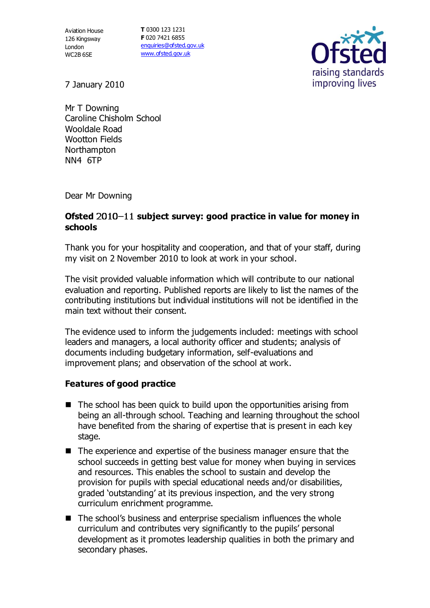Aviation House 126 Kingsway London WC2B 6SE

**T** 0300 123 1231 **F** 020 7421 6855 [enquiries@ofsted.gov.uk](mailto:enquiries@ofsted.gov.uk) [www.ofsted.gov.uk](http://www.ofsted.gov.uk/)



7 January 2010

Mr T Downing Caroline Chisholm School Wooldale Road Wootton Fields Northampton NN4 6TP

Dear Mr Downing

## Ofsted 2010-11 subject survey: good practice in value for money in **schools**

Thank you for your hospitality and cooperation, and that of your staff, during my visit on 2 November 2010 to look at work in your school.

The visit provided valuable information which will contribute to our national evaluation and reporting. Published reports are likely to list the names of the contributing institutions but individual institutions will not be identified in the main text without their consent.

The evidence used to inform the judgements included: meetings with school leaders and managers, a local authority officer and students; analysis of documents including budgetary information, self-evaluations and improvement plans; and observation of the school at work.

## **Features of good practice**

- $\blacksquare$  The school has been quick to build upon the opportunities arising from being an all-through school. Teaching and learning throughout the school have benefited from the sharing of expertise that is present in each key stage.
- The experience and expertise of the business manager ensure that the school succeeds in getting best value for money when buying in services and resources. This enables the school to sustain and develop the provision for pupils with special educational needs and/or disabilities, graded 'outstanding' at its previous inspection, and the very strong curriculum enrichment programme.
- The school's business and enterprise specialism influences the whole curriculum and contributes very significantly to the pupils' personal development as it promotes leadership qualities in both the primary and secondary phases.